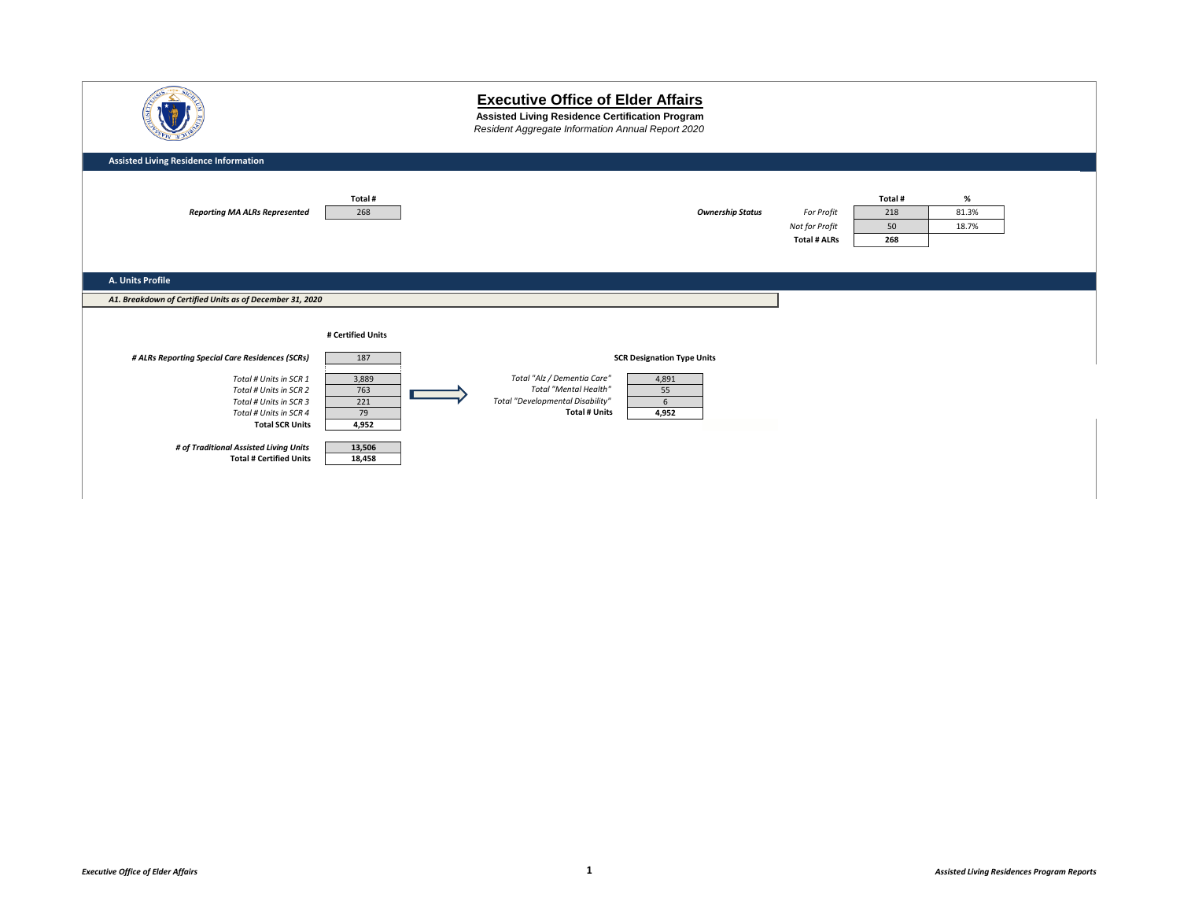|                                                                                                                                                                                                            |                                                        | <b>Executive Office of Elder Affairs</b><br>Assisted Living Residence Certification Program<br>Resident Aggregate Information Annual Report 2020                   |                                                     |                            |                        |  |
|------------------------------------------------------------------------------------------------------------------------------------------------------------------------------------------------------------|--------------------------------------------------------|--------------------------------------------------------------------------------------------------------------------------------------------------------------------|-----------------------------------------------------|----------------------------|------------------------|--|
| <b>Assisted Living Residence Information</b>                                                                                                                                                               |                                                        |                                                                                                                                                                    |                                                     |                            |                        |  |
| <b>Reporting MA ALRs Represented</b>                                                                                                                                                                       | Total #<br>268                                         | <b>Ownership Status</b>                                                                                                                                            | For Profit<br>Not for Profit<br><b>Total # ALRs</b> | Total#<br>218<br>50<br>268 | $\%$<br>81.3%<br>18.7% |  |
| A. Units Profile                                                                                                                                                                                           |                                                        |                                                                                                                                                                    |                                                     |                            |                        |  |
| A1. Breakdown of Certified Units as of December 31, 2020                                                                                                                                                   |                                                        |                                                                                                                                                                    |                                                     |                            |                        |  |
|                                                                                                                                                                                                            | # Certified Units                                      |                                                                                                                                                                    |                                                     |                            |                        |  |
| # ALRs Reporting Special Care Residences (SCRs)                                                                                                                                                            | 187                                                    | <b>SCR Designation Type Units</b>                                                                                                                                  |                                                     |                            |                        |  |
| Total # Units in SCR 1<br>Total # Units in SCR 2<br>Total # Units in SCR 3<br>Total # Units in SCR 4<br><b>Total SCR Units</b><br># of Traditional Assisted Living Units<br><b>Total # Certified Units</b> | 3,889<br>763<br>221<br>79<br>4,952<br>13,506<br>18,458 | Total "Alz / Dementia Care"<br>4,891<br><b>Total "Mental Health"</b><br>55<br>Total "Developmental Disability"<br>$6\overline{6}$<br><b>Total # Units</b><br>4,952 |                                                     |                            |                        |  |
|                                                                                                                                                                                                            |                                                        |                                                                                                                                                                    |                                                     |                            |                        |  |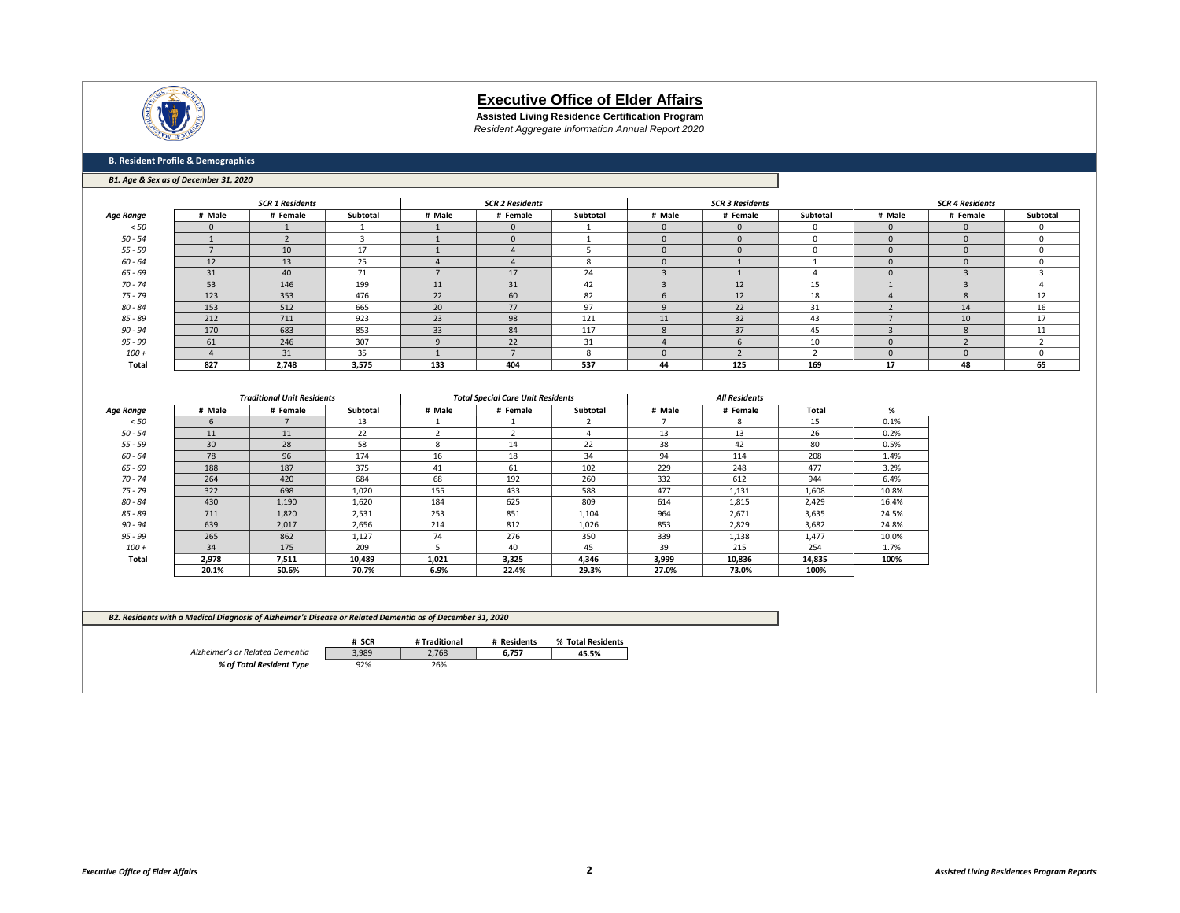

**Assisted Living Residence Certification Program** *Resident Aggregate Information Annual Report 2020*

### **B. Resident Profile & Demographics**

#### *B1. Age & Sex as of December 31, 2020*

|           |          | <b>SCR 1 Residents</b> |          |        | <b>SCR 2 Residents</b> |          |                           | <b>SCR 3 Residents</b> |                 |          | <b>SCR 4 Residents</b> |          |
|-----------|----------|------------------------|----------|--------|------------------------|----------|---------------------------|------------------------|-----------------|----------|------------------------|----------|
| Age Range | # Male   | # Female               | Subtotal | # Male | # Female               | Subtotal | # Male                    | # Female               | <b>Subtotal</b> | # Male   | # Female               | Subtotal |
| < 50      | $\Omega$ |                        |          |        |                        |          |                           |                        |                 | $\Omega$ |                        |          |
| $50 - 54$ |          |                        |          |        |                        |          |                           |                        |                 | $\Omega$ |                        |          |
| $55 - 59$ |          | 10                     | 17       |        |                        |          |                           |                        |                 | $\Omega$ |                        |          |
| $60 - 64$ | 12       | 13                     | 25       |        |                        | ጸ        |                           |                        |                 |          |                        |          |
| $65 - 69$ | 31       | 40                     | 71       |        | 17                     | 24       |                           |                        |                 | $\Omega$ |                        |          |
| $70 - 74$ | 53       | 146                    | 199      | 11     | 31                     | 42       |                           | 12                     | 15              |          |                        |          |
| $75 - 79$ | 123      | 353                    | 476      | 22     | 60                     | 82       |                           | 12                     | 18              |          | $\mathbf{x}$           | 12       |
| $80 - 84$ | 153      | 512                    | 665      | 20     | 77                     | 97       |                           | 22                     | 31              |          | 14                     | 16       |
| $85 - 89$ | 212      | 711                    | 923      | 23     | 98                     | 121      | 11                        | 32                     | 43              |          | 10                     | 17       |
| $90 - 94$ | 170      | 683                    | 853      | 33     | 84                     | 117      | $\boldsymbol{\mathsf{x}}$ | 37                     | 45              |          | $\mathbf{x}$           | 11       |
| $95 - 99$ | 61       | 246                    | 307      |        | 22                     | 31       |                           |                        | 10              | n        |                        |          |
| $100 +$   |          | 31                     | 35       |        |                        |          |                           |                        |                 | $\Omega$ |                        |          |
| Total     | 827      | 2,748                  | 3,575    | 133    | 404                    | 537      | 44                        | 125                    | 169             | 17       | 48                     | 65       |

|                  |        | <b>Traditional Unit Residents</b> |          | <b>Total Special Care Unit Residents</b> |          |          |        |          |        |       |
|------------------|--------|-----------------------------------|----------|------------------------------------------|----------|----------|--------|----------|--------|-------|
| <b>Age Range</b> | # Male | # Female                          | Subtotal | # Male                                   | # Female | Subtotal | # Male | # Female | Total  | %     |
| < 50             |        |                                   | 13       |                                          |          |          |        | 8        | 15     | 0.1%  |
| $50 - 54$        | 11     | 11                                | 22       |                                          |          |          | 13     | 13       | 26     | 0.2%  |
| $55 - 59$        | 30     | 28                                | 58       | 8                                        | 14       | 22       | 38     | 42       | 80     | 0.5%  |
| $60 - 64$        | 78     | 96                                | 174      | 16                                       | 18       | 34       | 94     | 114      | 208    | 1.4%  |
| $65 - 69$        | 188    | 187                               | 375      | 41                                       | 61       | 102      | 229    | 248      | 477    | 3.2%  |
| $70 - 74$        | 264    | 420                               | 684      | 68                                       | 192      | 260      | 332    | 612      | 944    | 6.4%  |
| $75 - 79$        | 322    | 698                               | 1,020    | 155                                      | 433      | 588      | 477    | 1,131    | 1,608  | 10.8% |
| $80 - 84$        | 430    | 1,190                             | 1,620    | 184                                      | 625      | 809      | 614    | 1,815    | 2,429  | 16.4% |
| 85 - 89          | 711    | 1,820                             | 2,531    | 253                                      | 851      | 1,104    | 964    | 2,671    | 3,635  | 24.5% |
| $90 - 94$        | 639    | 2,017                             | 2,656    | 214                                      | 812      | 1,026    | 853    | 2,829    | 3,682  | 24.8% |
| $95 - 99$        | 265    | 862                               | 1,127    | 74                                       | 276      | 350      | 339    | 1,138    | 1,477  | 10.0% |
| $100 +$          | 34     | 175                               | 209      |                                          | 40       | 45       | 39     | 215      | 254    | 1.7%  |
| Total            | 2,978  | 7,511                             | 10,489   | 1,021                                    | 3,325    | 4,346    | 3,999  | 10,836   | 14,835 | 100%  |
|                  | 20.1%  | 50.6%                             | 70.7%    | 6.9%                                     | 22.4%    | 29.3%    | 27.0%  | 73.0%    | 100%   |       |

#### *B2. Residents with a Medical Diagnosis of Alzheimer's Disease or Related Dementia as of December 31, 2020*

|                                 | # SCR | # Traditional | # Residents | % Total Residents |
|---------------------------------|-------|---------------|-------------|-------------------|
| Alzheimer's or Related Dementia | 3.989 | 2.768         | 6.757       | 45.5%             |
| % of Total Resident Type        | 92%   | 26%           |             |                   |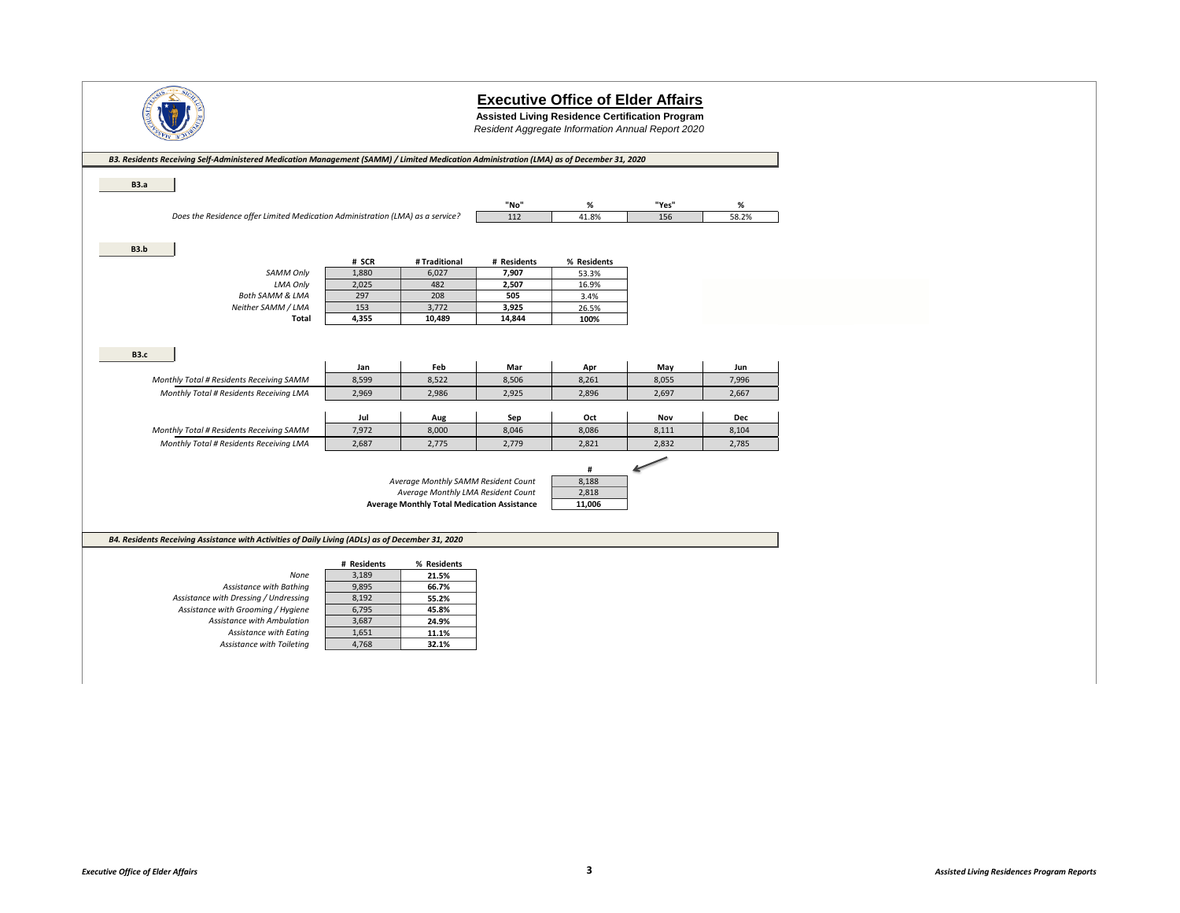

**Assisted Living Residence Certification Program**

*Resident Aggregate Information Annual Report 2020*

| <b>B3.a</b><br>Does the Residence offer Limited Medication Administration (LMA) as a service?<br>B3.b<br><b>SAMM Only</b><br>LMA Only<br><b>Both SAMM &amp; LMA</b> | # SCR<br>1,880<br>2,025<br>297<br>153<br>4,355 | # Traditional<br>6,027<br>482<br>208<br>3,772<br>10,489 | "No"<br>112<br># Residents<br>7,907<br>2,507<br>505<br>3,925<br>14,844 | %<br>41.8%<br>% Residents<br>53.3%<br>16.9%<br>3.4%<br>26.5%<br>100% | "Yes"<br>156 | %<br>58.2% |
|---------------------------------------------------------------------------------------------------------------------------------------------------------------------|------------------------------------------------|---------------------------------------------------------|------------------------------------------------------------------------|----------------------------------------------------------------------|--------------|------------|
|                                                                                                                                                                     |                                                |                                                         |                                                                        |                                                                      |              |            |
|                                                                                                                                                                     |                                                |                                                         |                                                                        |                                                                      |              |            |
|                                                                                                                                                                     |                                                |                                                         |                                                                        |                                                                      |              |            |
|                                                                                                                                                                     |                                                |                                                         |                                                                        |                                                                      |              |            |
|                                                                                                                                                                     |                                                |                                                         |                                                                        |                                                                      |              |            |
|                                                                                                                                                                     |                                                |                                                         |                                                                        |                                                                      |              |            |
|                                                                                                                                                                     |                                                |                                                         |                                                                        |                                                                      |              |            |
|                                                                                                                                                                     |                                                |                                                         |                                                                        |                                                                      |              |            |
|                                                                                                                                                                     |                                                |                                                         |                                                                        |                                                                      |              |            |
| Neither SAMM / LMA                                                                                                                                                  |                                                |                                                         |                                                                        |                                                                      |              |            |
| Total                                                                                                                                                               |                                                |                                                         |                                                                        |                                                                      |              |            |
|                                                                                                                                                                     |                                                |                                                         |                                                                        |                                                                      |              |            |
|                                                                                                                                                                     |                                                |                                                         |                                                                        |                                                                      |              |            |
| <b>B3.c</b>                                                                                                                                                         |                                                |                                                         |                                                                        |                                                                      |              |            |
|                                                                                                                                                                     | Jan                                            | Feb                                                     | Mar                                                                    | Apr                                                                  | May          | Jun        |
| Monthly Total # Residents Receiving SAMM                                                                                                                            | 8,599                                          | 8,522                                                   | 8,506                                                                  | 8,261                                                                | 8,055        | 7,996      |
| Monthly Total # Residents Receiving LMA                                                                                                                             | 2,969                                          | 2,986                                                   | 2,925                                                                  | 2,896                                                                | 2,697        | 2,667      |
|                                                                                                                                                                     |                                                |                                                         |                                                                        |                                                                      |              |            |
|                                                                                                                                                                     | Jul                                            | Aug                                                     | Sep                                                                    | Oct                                                                  | Nov          | Dec        |
| Monthly Total # Residents Receiving SAMM                                                                                                                            | 7,972                                          | 8,000                                                   | 8,046                                                                  | 8,086                                                                | 8,111        | 8,104      |
| Monthly Total # Residents Receiving LMA                                                                                                                             | 2,687                                          | 2,775                                                   | 2,779                                                                  | 2,821                                                                | 2,832        | 2,785      |
|                                                                                                                                                                     |                                                |                                                         |                                                                        |                                                                      |              |            |
|                                                                                                                                                                     |                                                | Average Monthly SAMM Resident Count                     |                                                                        | #<br>8,188                                                           |              |            |
|                                                                                                                                                                     |                                                | Average Monthly LMA Resident Count                      |                                                                        | 2,818                                                                |              |            |
|                                                                                                                                                                     |                                                | <b>Average Monthly Total Medication Assistance</b>      |                                                                        | 11,006                                                               |              |            |
|                                                                                                                                                                     |                                                |                                                         |                                                                        |                                                                      |              |            |
|                                                                                                                                                                     |                                                |                                                         |                                                                        |                                                                      |              |            |
| B4. Residents Receiving Assistance with Activities of Daily Living (ADLs) as of December 31, 2020                                                                   |                                                |                                                         |                                                                        |                                                                      |              |            |
|                                                                                                                                                                     |                                                |                                                         |                                                                        |                                                                      |              |            |
|                                                                                                                                                                     | # Residents                                    | % Residents                                             |                                                                        |                                                                      |              |            |
| None                                                                                                                                                                | 3,189                                          | 21.5%                                                   |                                                                        |                                                                      |              |            |
| Assistance with Bathing                                                                                                                                             | 9,895                                          | 66.7%                                                   |                                                                        |                                                                      |              |            |
| Assistance with Dressing / Undressing                                                                                                                               | 8,192                                          | 55.2%                                                   |                                                                        |                                                                      |              |            |
| Assistance with Grooming / Hygiene<br>Assistance with Ambulation                                                                                                    | 6,795<br>3,687                                 | 45.8%                                                   |                                                                        |                                                                      |              |            |
|                                                                                                                                                                     | 1,651                                          | 24.9%                                                   |                                                                        |                                                                      |              |            |
| Assistance with Eating<br>Assistance with Toileting                                                                                                                 | 4,768                                          | 11.1%<br>32.1%                                          |                                                                        |                                                                      |              |            |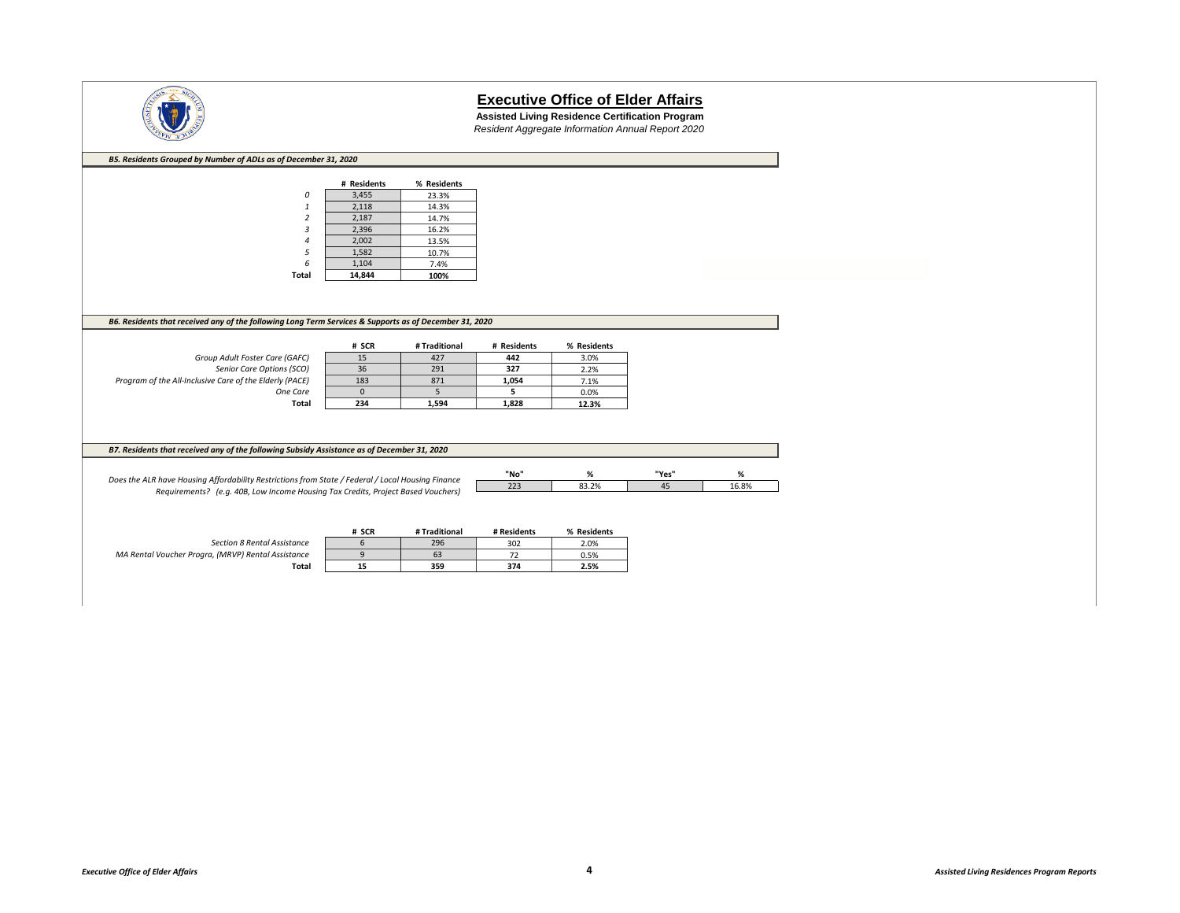

**Assisted Living Residence Certification Program** *Resident Aggregate Information Annual Report 2020*

| B5. Residents Grouped by Number of ADLs as of December 31, 2020                                        |             |               |             |              |       |       |
|--------------------------------------------------------------------------------------------------------|-------------|---------------|-------------|--------------|-------|-------|
|                                                                                                        |             |               |             |              |       |       |
|                                                                                                        | # Residents | % Residents   |             |              |       |       |
| 0                                                                                                      | 3,455       | 23.3%         |             |              |       |       |
| 1                                                                                                      | 2,118       | 14.3%         |             |              |       |       |
| $\overline{2}$                                                                                         | 2,187       | 14.7%         |             |              |       |       |
| 3                                                                                                      | 2,396       | 16.2%         |             |              |       |       |
|                                                                                                        | 2,002       | 13.5%         |             |              |       |       |
| 5                                                                                                      | 1,582       | 10.7%         |             |              |       |       |
| 6                                                                                                      | 1,104       | 7.4%          |             |              |       |       |
| <b>Total</b>                                                                                           | 14,844      | 100%          |             |              |       |       |
|                                                                                                        |             |               |             |              |       |       |
|                                                                                                        |             |               |             |              |       |       |
|                                                                                                        |             |               |             |              |       |       |
| B6. Residents that received any of the following Long Term Services & Supports as of December 31, 2020 |             |               |             |              |       |       |
|                                                                                                        |             |               |             |              |       |       |
|                                                                                                        | # SCR       | # Traditional | # Residents | % Residents  |       |       |
| Group Adult Foster Care (GAFC)                                                                         | 15          | 427           | 442         | 3.0%         |       |       |
| Senior Care Options (SCO)                                                                              | 36          | 291           | 327         | 2.2%         |       |       |
| Program of the All-Inclusive Care of the Elderly (PACE)                                                | 183         | 871           | 1,054       | 7.1%         |       |       |
| One Care                                                                                               | $\mathbf 0$ | 5             | 5           | 0.0%         |       |       |
| Total                                                                                                  | 234         | 1,594         | 1,828       | 12.3%        |       |       |
|                                                                                                        |             |               |             |              |       |       |
|                                                                                                        |             |               |             |              |       |       |
|                                                                                                        |             |               |             |              |       |       |
| B7. Residents that received any of the following Subsidy Assistance as of December 31, 2020            |             |               |             |              |       |       |
|                                                                                                        |             |               |             |              |       |       |
| Does the ALR have Housing Affordability Restrictions from State / Federal / Local Housing Finance      |             |               | "No"        | $\%$         | "Yes" | %     |
| Requirements? (e.g. 40B, Low Income Housing Tax Credits, Project Based Vouchers)                       |             |               | 223         | 83.2%        | 45    | 16.8% |
|                                                                                                        |             |               |             |              |       |       |
|                                                                                                        |             |               |             |              |       |       |
|                                                                                                        | # SCR       | # Traditional | # Residents | % Residents  |       |       |
| <b>Section 8 Rental Assistance</b>                                                                     | 6           | 296           | 302         | 2.0%         |       |       |
| MA Rental Voucher Progra, (MRVP) Rental Assistance                                                     |             |               |             |              |       |       |
|                                                                                                        |             |               |             |              |       |       |
| Total                                                                                                  | 9<br>15     | 63<br>359     | 72<br>374   | 0.5%<br>2.5% |       |       |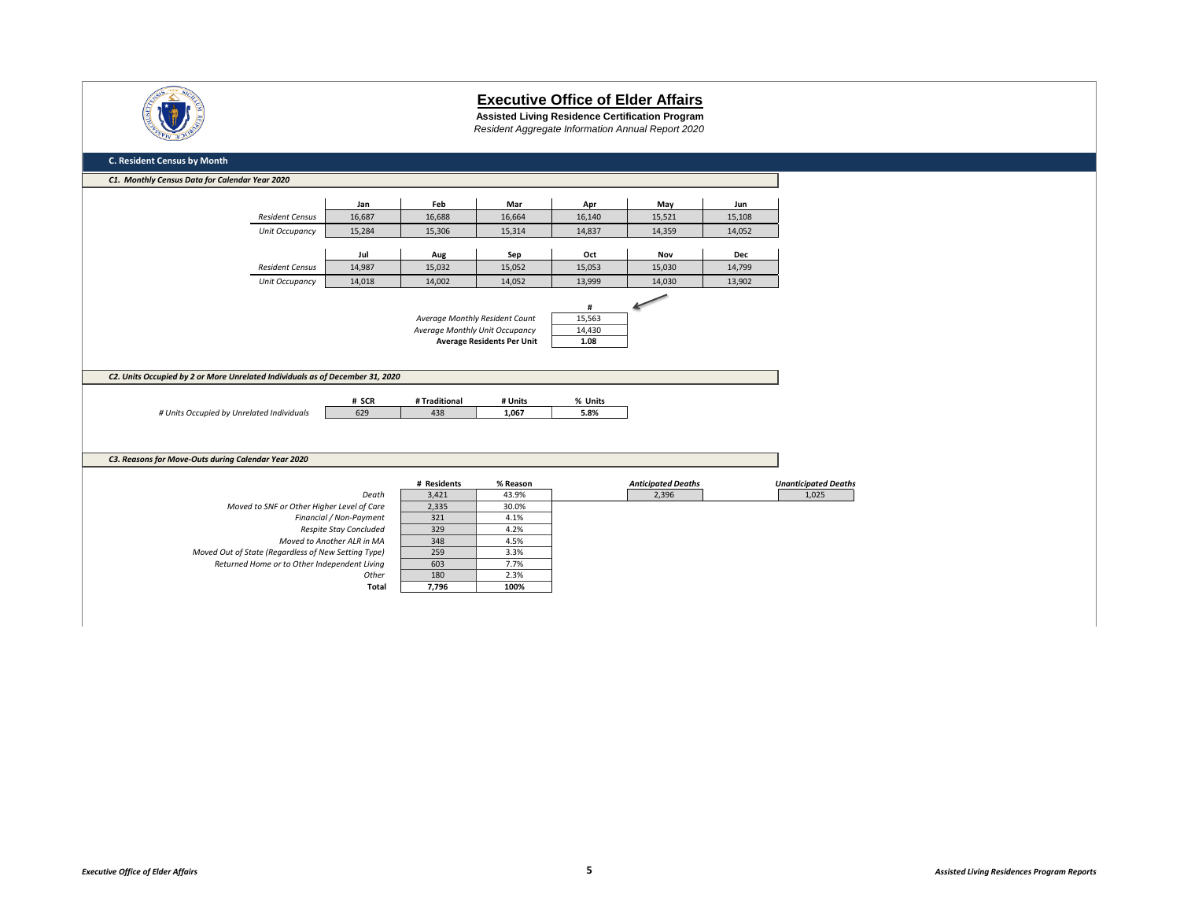

**Assisted Living Residence Certification Program** *Resident Aggregate Information Annual Report 2020*

| C1. Monthly Census Data for Calendar Year 2020                                                      |                                                      |                                |                                   |             |                           |            |                             |
|-----------------------------------------------------------------------------------------------------|------------------------------------------------------|--------------------------------|-----------------------------------|-------------|---------------------------|------------|-----------------------------|
|                                                                                                     | Jan                                                  | Feb                            | Mar                               | Apr         | May                       | Jun        |                             |
| <b>Resident Census</b>                                                                              | 16,687                                               | 16,688                         | 16,664                            | 16,140      | 15,521                    | 15,108     |                             |
| Unit Occupancy                                                                                      | 15,284                                               | 15,306                         | 15,314                            | 14,837      | 14,359                    | 14,052     |                             |
|                                                                                                     |                                                      |                                |                                   |             |                           |            |                             |
|                                                                                                     | Jul                                                  | Aug                            | Sep                               | Oct         | Nov                       | <b>Dec</b> |                             |
| <b>Resident Census</b>                                                                              | 14,987                                               | 15,032                         | 15,052                            | 15,053      | 15,030                    | 14,799     |                             |
| Unit Occupancy                                                                                      | 14,018                                               | 14,002                         | 14,052                            | 13,999      | 14,030                    | 13,902     |                             |
|                                                                                                     |                                                      |                                |                                   |             |                           |            |                             |
|                                                                                                     |                                                      | Average Monthly Resident Count |                                   | #<br>15,563 |                           |            |                             |
|                                                                                                     |                                                      | Average Monthly Unit Occupancy |                                   | 14,430      |                           |            |                             |
|                                                                                                     |                                                      |                                | <b>Average Residents Per Unit</b> | 1.08        |                           |            |                             |
|                                                                                                     |                                                      |                                |                                   |             |                           |            |                             |
|                                                                                                     |                                                      |                                |                                   |             |                           |            |                             |
| C2. Units Occupied by 2 or More Unrelated Individuals as of December 31, 2020                       |                                                      |                                |                                   |             |                           |            |                             |
|                                                                                                     |                                                      |                                |                                   |             |                           |            |                             |
|                                                                                                     |                                                      |                                |                                   |             |                           |            |                             |
|                                                                                                     | # SCR                                                | # Traditional                  | # Units                           | % Units     |                           |            |                             |
| # Units Occupied by Unrelated Individuals                                                           | 629                                                  | 438                            | 1,067                             | 5.8%        |                           |            |                             |
|                                                                                                     |                                                      |                                |                                   |             |                           |            |                             |
|                                                                                                     |                                                      |                                |                                   |             |                           |            |                             |
|                                                                                                     |                                                      |                                |                                   |             |                           |            |                             |
|                                                                                                     |                                                      |                                |                                   |             |                           |            |                             |
|                                                                                                     |                                                      | # Residents                    | % Reason                          |             | <b>Anticipated Deaths</b> |            | <b>Unanticipated Deaths</b> |
|                                                                                                     | Death                                                | 3,421                          | 43.9%                             |             | 2,396                     |            | 1,025                       |
| Moved to SNF or Other Higher Level of Care                                                          |                                                      | 2,335                          | 30.0%                             |             |                           |            |                             |
|                                                                                                     | Financial / Non-Payment                              | 321                            | 4.1%                              |             |                           |            |                             |
|                                                                                                     | Respite Stay Concluded<br>Moved to Another ALR in MA | 329<br>348                     | 4.2%<br>4.5%                      |             |                           |            |                             |
|                                                                                                     |                                                      |                                | 3.3%                              |             |                           |            |                             |
| Moved Out of State (Regardless of New Setting Type)<br>Returned Home or to Other Independent Living |                                                      | 259<br>603                     | 7.7%                              |             |                           |            |                             |
| C3. Reasons for Move-Outs during Calendar Year 2020                                                 | Other                                                | 180                            | 2.3%                              |             |                           |            |                             |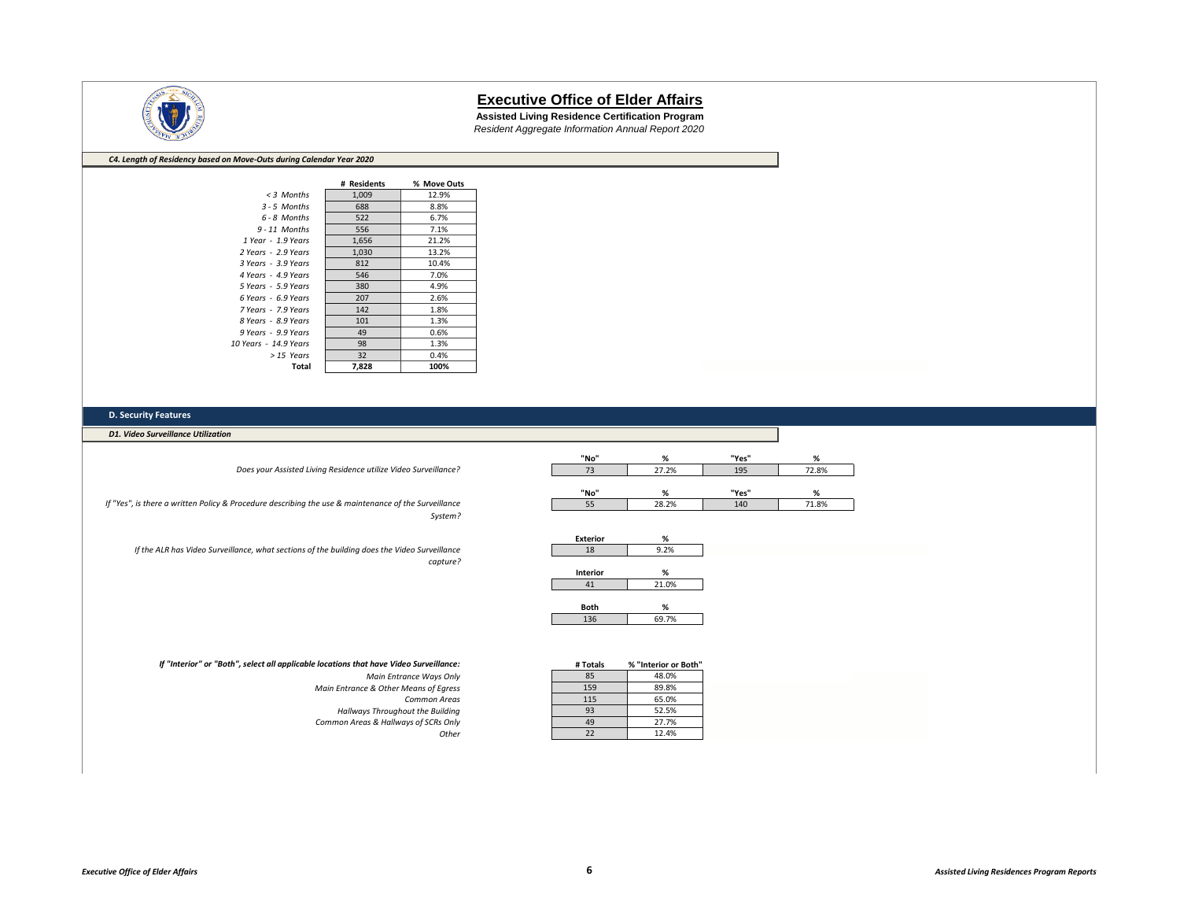

**Assisted Living Residence Certification Program** *Resident Aggregate Information Annual Report 2020*

#### *C4. Length of Residency based on Move-Outs during Calendar Year 2020*

|                       | # Residents | % Move Outs |
|-----------------------|-------------|-------------|
| $<$ 3 Months          | 1,009       | 12.9%       |
| $3 - 5$ Months        | 688         | 8.8%        |
| 6 - 8 Months          | 522         | 6.7%        |
| $9 - 11$ Months       | 556         | 7.1%        |
| 1 Year - 1.9 Years    | 1,656       | 21.2%       |
| 2 Years - 2.9 Years   | 1,030       | 13.2%       |
| 3 Years - 3.9 Years   | 812         | 10.4%       |
| 4 Years - 4.9 Years   | 546         | 7.0%        |
| 5 Years - 5.9 Years   | 380         | 4.9%        |
| 6 Years - 6.9 Years   | 207         | 2.6%        |
| 7 Years - 7.9 Years   | 142         | 1.8%        |
| 8 Years - 8.9 Years   | 101         | 1.3%        |
| 9 Years - 9.9 Years   | 49          | 0.6%        |
| 10 Years - 14.9 Years | 98          | 1.3%        |
| > 15 Years            | 32          | 0.4%        |
| Total                 | 7.828       | 100%        |

#### **D. Security Features**

*D1. Video Surveillance Utilization*

*Does your Assisted Living Residence utilize Video Surveillance?*

*If "Yes", is there a written Policy & Procedure describing the use & maintenance of the Surveillance System?*

*If the ALR has Video Surveillance, what sections of the building does the Video Surveillance capture?*

| "No" | %     | "Yes" | %     |
|------|-------|-------|-------|
|      | 27.2% | 195   | 72.8% |
|      |       |       |       |
|      |       |       |       |
| "No" | %     | "Yes" | %     |
| 55   | 28.2% | 140   | 71.8% |

| %     |
|-------|
| 9.2%  |
|       |
| %     |
| 21.0% |
|       |

| $\frac{10}{2}$ |
|----------------|

| lance: | # Totals | % "Interior or Both" |
|--------|----------|----------------------|
| s Only | 85       | 48.0%                |
| Egress | 159      | 89.8%                |
| Areas  | 115      | 65.0%                |
| ilding | 93       | 52.5%                |
| s Only | 49       | 27.7%                |
| Other  | 22       | 12.4%                |

#### *If "Interior" or "Both", select all applicable locations that have Video Surveillance:*

*Main Entrance Ways Only Main Entrance & Other Means of Egress* **Common Areas Hallways Throughout the Building** *Common Areas & Hallways of SCRs Only*<br>Other